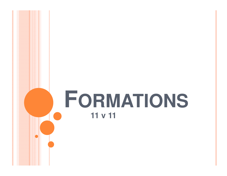# FORMATIONS 11 v 11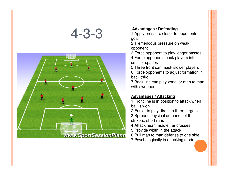## 4-3-3



**Advantages / Defending** 1.Apply pressure closer to opponents goal

2.Tremendous pressure on weak opponent

 3.Force opponent to play longer passes4 Force opponents back players into smaller spaces

 5.Three front can mask slower players 6.Force opponents to adjust formation in back third

 7.Back line can play zonal or man to man with sweeper

### **Advantages / Attacking**

 1.Front line is in position to attack when ball is won

 2.Easier to play direct to three targets3.Spreads physical demands of the strikers, short runs

4.Attack near, middle, far crosses

5.Provide width in the attack

 6.Pull man to man defense to one side7.Psychologically in attacking mode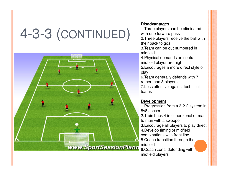# 4-3-3 (CONTINUED)



#### **Disadvantages**

 1.Three players can be eliminated with one forward pass 2.Three players receive the ball with their back to goal3.Team can be out numbered in midfield 4.Physical demands on central midfield player are high 5.Encourages a more direct style of play 6.Team generally defends with 7 rather than 8 players

 7.Less effective against technical teams

#### **Development**

 1.Progression from a 3-2-2 system in 8v8 soccer2.Train back 4 in either zonal or man

to man with a sweeper

3.Encourage all players to play direct

4.Develop timing of midfield

combinations with front line

 5.Coach transition through the midfield

 6.Coach zonal defending with midfield players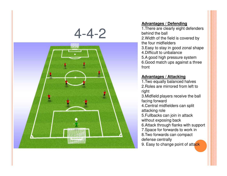



#### **Advantages / Defending**

 1.There are clearly eight defenders behind the ball 2.Width of the field is covered by the four midfielders 3.Easy to stay in good zonal shape4.Difficult to unbalance 5.A good high pressure system 6.Good match ups against a three front

#### **Advantages / Attacking**

 1.Two equally balanced halves 2.Roles are mirrored from left to right

 3.Midfield players receive the ball facing forward

 4.Central midfielders can split attacking role

 5.Fullbacks can join in attack without exposing back

6.Attack through flanks with support

7.Space for forwards to work in

- 8.Two forwards can compact
- defense centrally
- 9. Easy to change point of atta<mark>ck</mark>